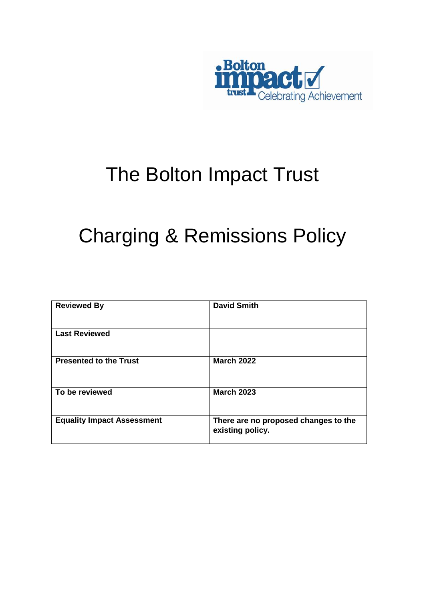

# The Bolton Impact Trust

# Charging & Remissions Policy

| <b>Reviewed By</b>                | <b>David Smith</b>                                       |
|-----------------------------------|----------------------------------------------------------|
| <b>Last Reviewed</b>              |                                                          |
| <b>Presented to the Trust</b>     | <b>March 2022</b>                                        |
| To be reviewed                    | <b>March 2023</b>                                        |
| <b>Equality Impact Assessment</b> | There are no proposed changes to the<br>existing policy. |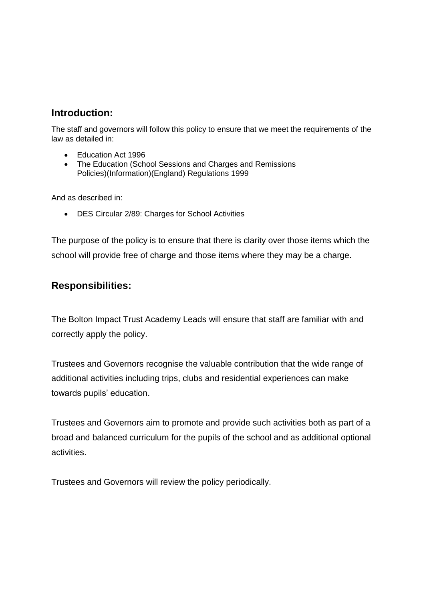# **Introduction:**

The staff and governors will follow this policy to ensure that we meet the requirements of the law as detailed in:

- Education Act 1996
- The Education (School Sessions and Charges and Remissions Policies)(Information)(England) Regulations 1999

And as described in:

DES Circular 2/89: Charges for School Activities

The purpose of the policy is to ensure that there is clarity over those items which the school will provide free of charge and those items where they may be a charge.

## **Responsibilities:**

The Bolton Impact Trust Academy Leads will ensure that staff are familiar with and correctly apply the policy.

Trustees and Governors recognise the valuable contribution that the wide range of additional activities including trips, clubs and residential experiences can make towards pupils' education.

Trustees and Governors aim to promote and provide such activities both as part of a broad and balanced curriculum for the pupils of the school and as additional optional activities.

Trustees and Governors will review the policy periodically.